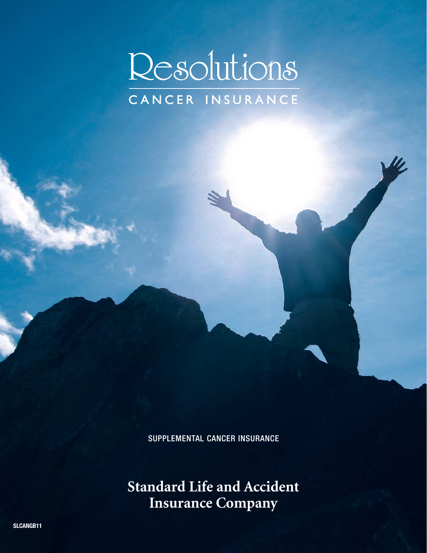

SUPPLEMENTAL CANCER INSURANCE

**Standard Life and Accident Insurance Company**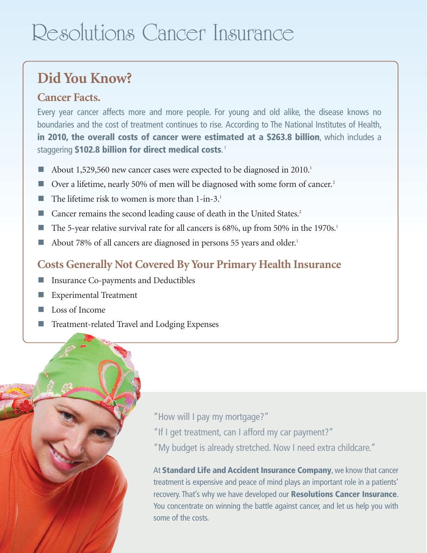# Resolutions Cancer Insurance

### **Did You Know?**

### **Cancer Facts.**

Every year cancer affects more and more people. For young and old alike, the disease knows no boundaries and the cost of treatment continues to rise. According to The National Institutes of Health, **in 2010, the overall costs of cancer were estimated at a \$263.8 billion**, which includes a staggering **\$102.8 billion for direct medical costs**. 1

- About 1,529,560 new cancer cases were expected to be diagnosed in 2010.<sup>1</sup>
- Over a lifetime, nearly 50% of men will be diagnosed with some form of cancer.<sup>2</sup>
- $\blacksquare$  The lifetime risk to women is more than 1-in-3.<sup>1</sup>
- $\blacksquare$  Cancer remains the second leading cause of death in the United States.<sup>2</sup>
- The 5-year relative survival rate for all cancers is  $68\%$ , up from 50% in the 1970s.<sup>1</sup>
- About 78% of all cancers are diagnosed in persons 55 years and older.<sup>1</sup>

### **Costs Generally Not Covered By Your Primary Health Insurance**

- **n** Insurance Co-payments and Deductibles
- **n** Experimental Treatment
- $\blacksquare$  Loss of Income
- Treatment-related Travel and Lodging Expenses



"How will I pay my mortgage?"

- "If I get treatment, can I afford my car payment?"
- "My budget is already stretched. Now I need extra childcare."

At **Standard Life and Accident Insurance Company**, we know that cancer treatment is expensive and peace of mind plays an important role in a patients' recovery. That's why we have developed our **Resolutions Cancer Insurance**. You concentrate on winning the battle against cancer, and let us help you with some of the costs.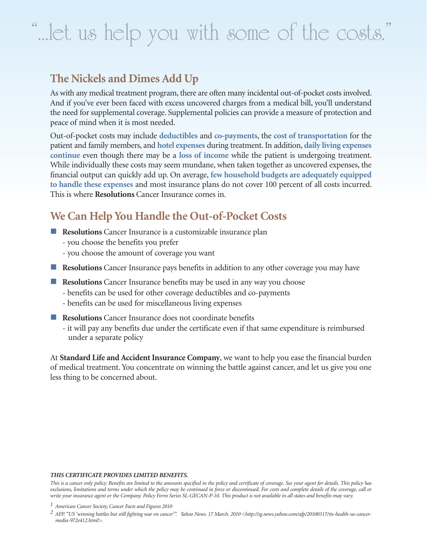# "...let us help you with some of the costs."

### **The Nickels and Dimes Add Up**

As with any medical treatment program, there are often many incidental out-of-pocket costs involved. And if you've ever been faced with excess uncovered charges from a medical bill, you'll understand the need for supplemental coverage. Supplemental policies can provide a measure of protection and peace of mind when it is most needed.

Out-of-pocket costs may include **deductibles** and **co-payments**, the **cost of transportation** for the patient and family members, and **hotel expenses** during treatment. In addition, **daily living expenses continue** even though there may be a **loss of income** while the patient is undergoing treatment. While individually these costs may seem mundane, when taken together as uncovered expenses, the financial output can quickly add up. On average, **few household budgets are adequately equipped to handle these expenses** and most insurance plans do not cover 100 percent of all costs incurred. This is where **Resolutions** Cancer Insurance comes in.

### **We Can Help You Handle the Out-of-Pocket Costs**

- **Resolutions** Cancer Insurance is a customizable insurance plan
	- you choose the benefits you prefer
	- you choose the amount of coverage you want
- **Resolutions** Cancer Insurance pays benefits in addition to any other coverage you may have
- **Resolutions** Cancer Insurance benefits may be used in any way you choose
	- benefits can be used for other coverage deductibles and co-payments
	- benefits can be used for miscellaneous living expenses
- **n** Resolutions Cancer Insurance does not coordinate benefits
	- it will pay any benefits due under the certificate even if that same expenditure is reimbursed under a separate policy

At **Standard Life and Accident Insurance Company**, we want to help you ease the financial burden of medical treatment. You concentrate on winning the battle against cancer, and let us give you one less thing to be concerned about.

#### *THIS CERTIFICATE PROVIDES LIMITED BENEFITS.*

*This is a cancer only policy. Benefits are limited to the amounts specified in the policy and certificate of coverage. See your agent for details. This policy has exclusions, limitations and terms under which the policy may be continued in force or discontinued. For costs and complete details of the coverage, call or write your insurance agent or the Company. Policy Form Series SL-GECAN-P-10. This product is not available in all states and benefits may vary.* 

*<sup>1</sup> American Cancer Society, Cancer Facts and Figures 2010*

*<sup>2</sup> AFP. "US 'winning battles but still fighting war on cancer'". Yahoo News. 17 March. 2010 <http://sg.news.yahoo.com/afp/20100317/tts-health-us-cancermedia-972e412.html>.*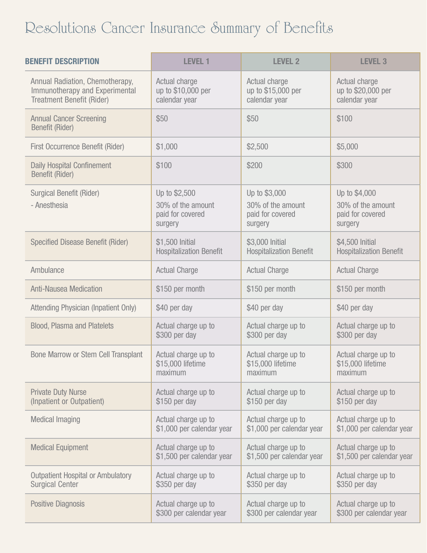## Resolutions Cancer Insurance Summary of Benefits

| <b>BENEFIT DESCRIPTION</b>                                  | <b>LEVEL 1</b>                                                    | <b>LEVEL 2</b>                                                    | <b>LEVEL 3</b>                                                    |
|-------------------------------------------------------------|-------------------------------------------------------------------|-------------------------------------------------------------------|-------------------------------------------------------------------|
| Annual Radiation, Chemotherapy,                             | Actual charge                                                     | Actual charge                                                     | Actual charge                                                     |
| Immunotherapy and Experimental                              | up to \$10,000 per                                                | up to \$15,000 per                                                | up to \$20,000 per                                                |
| <b>Treatment Benefit (Rider)</b>                            | calendar year                                                     | calendar year                                                     | calendar year                                                     |
| <b>Annual Cancer Screening</b><br><b>Benefit (Rider)</b>    | \$50                                                              | \$50                                                              | \$100                                                             |
| <b>First Occurrence Benefit (Rider)</b>                     | \$1,000                                                           | \$2,500                                                           | \$5,000                                                           |
| <b>Daily Hospital Confinement</b><br><b>Benefit (Rider)</b> | \$100                                                             | \$200                                                             | \$300                                                             |
| <b>Surgical Benefit (Rider)</b><br>- Anesthesia             | Up to \$2,500<br>30% of the amount<br>paid for covered<br>surgery | Up to \$3,000<br>30% of the amount<br>paid for covered<br>surgery | Up to \$4,000<br>30% of the amount<br>paid for covered<br>surgery |
| <b>Specified Disease Benefit (Rider)</b>                    | \$1,500 Initial                                                   | \$3,000 Initial                                                   | \$4,500 Initial                                                   |
|                                                             | <b>Hospitalization Benefit</b>                                    | <b>Hospitalization Benefit</b>                                    | <b>Hospitalization Benefit</b>                                    |
| Ambulance                                                   | <b>Actual Charge</b>                                              | <b>Actual Charge</b>                                              | <b>Actual Charge</b>                                              |
| <b>Anti-Nausea Medication</b>                               | \$150 per month                                                   | \$150 per month                                                   | \$150 per month                                                   |
| Attending Physician (Inpatient Only)                        | \$40 per day                                                      | \$40 per day                                                      | \$40 per day                                                      |
| <b>Blood, Plasma and Platelets</b>                          | Actual charge up to                                               | Actual charge up to                                               | Actual charge up to                                               |
|                                                             | \$300 per day                                                     | \$300 per day                                                     | \$300 per day                                                     |
| <b>Bone Marrow or Stem Cell Transplant</b>                  | Actual charge up to                                               | Actual charge up to                                               | Actual charge up to                                               |
|                                                             | \$15,000 lifetime                                                 | \$15,000 lifetime                                                 | \$15,000 lifetime                                                 |
|                                                             | maximum                                                           | maximum                                                           | maximum                                                           |
| <b>Private Duty Nurse</b>                                   | Actual charge up to                                               | Actual charge up to                                               | Actual charge up to                                               |
| (Inpatient or Outpatient)                                   | \$150 per day                                                     | \$150 per day                                                     | \$150 per day                                                     |
| <b>Medical Imaging</b>                                      | Actual charge up to                                               | Actual charge up to                                               | Actual charge up to                                               |
|                                                             | \$1,000 per calendar year                                         | \$1,000 per calendar year                                         | \$1,000 per calendar year                                         |
| <b>Medical Equipment</b>                                    | Actual charge up to                                               | Actual charge up to                                               | Actual charge up to                                               |
|                                                             | \$1,500 per calendar year                                         | \$1,500 per calendar year                                         | \$1,500 per calendar year                                         |
| <b>Outpatient Hospital or Ambulatory</b>                    | Actual charge up to                                               | Actual charge up to                                               | Actual charge up to                                               |
| <b>Surgical Center</b>                                      | \$350 per day                                                     | \$350 per day                                                     | \$350 per day                                                     |
| <b>Positive Diagnosis</b>                                   | Actual charge up to                                               | Actual charge up to                                               | Actual charge up to                                               |
|                                                             | \$300 per calendar year                                           | \$300 per calendar year                                           | \$300 per calendar year                                           |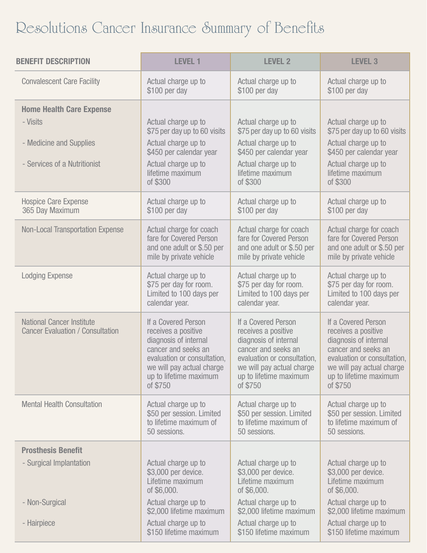## Resolutions Cancer Insurance Summary of Benefits

| <b>BENEFIT DESCRIPTION</b>                                                                             | <b>LEVEL 1</b>                                                                                                                                                                               | <b>LEVEL 2</b>                                                                                                                                                                               | <b>LEVEL 3</b>                                                                                                                                                                               |
|--------------------------------------------------------------------------------------------------------|----------------------------------------------------------------------------------------------------------------------------------------------------------------------------------------------|----------------------------------------------------------------------------------------------------------------------------------------------------------------------------------------------|----------------------------------------------------------------------------------------------------------------------------------------------------------------------------------------------|
| <b>Convalescent Care Facility</b>                                                                      | Actual charge up to                                                                                                                                                                          | Actual charge up to                                                                                                                                                                          | Actual charge up to                                                                                                                                                                          |
|                                                                                                        | \$100 per day                                                                                                                                                                                | \$100 per day                                                                                                                                                                                | \$100 per day                                                                                                                                                                                |
| <b>Home Health Care Expense</b><br>- Visits<br>- Medicine and Supplies<br>- Services of a Nutritionist | Actual charge up to<br>\$75 per day up to 60 visits<br>Actual charge up to<br>\$450 per calendar year<br>Actual charge up to<br>lifetime maximum<br>of \$300                                 | Actual charge up to<br>\$75 per day up to 60 visits<br>Actual charge up to<br>\$450 per calendar year<br>Actual charge up to<br>lifetime maximum<br>of \$300                                 | Actual charge up to<br>\$75 per day up to 60 visits<br>Actual charge up to<br>\$450 per calendar year<br>Actual charge up to<br>lifetime maximum<br>of \$300                                 |
| <b>Hospice Care Expense</b>                                                                            | Actual charge up to                                                                                                                                                                          | Actual charge up to                                                                                                                                                                          | Actual charge up to                                                                                                                                                                          |
| 365 Day Maximum                                                                                        | \$100 per day                                                                                                                                                                                | \$100 per day                                                                                                                                                                                | \$100 per day                                                                                                                                                                                |
| <b>Non-Local Transportation Expense</b>                                                                | Actual charge for coach                                                                                                                                                                      | Actual charge for coach                                                                                                                                                                      | Actual charge for coach                                                                                                                                                                      |
|                                                                                                        | fare for Covered Person                                                                                                                                                                      | fare for Covered Person                                                                                                                                                                      | fare for Covered Person                                                                                                                                                                      |
|                                                                                                        | and one adult or \$.50 per                                                                                                                                                                   | and one adult or \$.50 per                                                                                                                                                                   | and one adult or \$.50 per                                                                                                                                                                   |
|                                                                                                        | mile by private vehicle                                                                                                                                                                      | mile by private vehicle                                                                                                                                                                      | mile by private vehicle                                                                                                                                                                      |
| <b>Lodging Expense</b>                                                                                 | Actual charge up to                                                                                                                                                                          | Actual charge up to                                                                                                                                                                          | Actual charge up to                                                                                                                                                                          |
|                                                                                                        | \$75 per day for room.                                                                                                                                                                       | \$75 per day for room.                                                                                                                                                                       | \$75 per day for room.                                                                                                                                                                       |
|                                                                                                        | Limited to 100 days per                                                                                                                                                                      | Limited to 100 days per                                                                                                                                                                      | Limited to 100 days per                                                                                                                                                                      |
|                                                                                                        | calendar year.                                                                                                                                                                               | calendar year.                                                                                                                                                                               | calendar year.                                                                                                                                                                               |
| <b>National Cancer Institute</b><br><b>Cancer Evaluation / Consultation</b>                            | If a Covered Person<br>receives a positive<br>diagnosis of internal<br>cancer and seeks an<br>evaluation or consultation,<br>we will pay actual charge<br>up to lifetime maximum<br>of \$750 | If a Covered Person<br>receives a positive<br>diagnosis of internal<br>cancer and seeks an<br>evaluation or consultation,<br>we will pay actual charge<br>up to lifetime maximum<br>of \$750 | If a Covered Person<br>receives a positive<br>diagnosis of internal<br>cancer and seeks an<br>evaluation or consultation,<br>we will pay actual charge<br>up to lifetime maximum<br>of \$750 |
| <b>Mental Health Consultation</b>                                                                      | Actual charge up to                                                                                                                                                                          | Actual charge up to                                                                                                                                                                          | Actual charge up to                                                                                                                                                                          |
|                                                                                                        | \$50 per session. Limited                                                                                                                                                                    | \$50 per session. Limited                                                                                                                                                                    | \$50 per session. Limited                                                                                                                                                                    |
|                                                                                                        | to lifetime maximum of                                                                                                                                                                       | to lifetime maximum of                                                                                                                                                                       | to lifetime maximum of                                                                                                                                                                       |
|                                                                                                        | 50 sessions.                                                                                                                                                                                 | 50 sessions.                                                                                                                                                                                 | 50 sessions.                                                                                                                                                                                 |
| <b>Prosthesis Benefit</b>                                                                              |                                                                                                                                                                                              |                                                                                                                                                                                              |                                                                                                                                                                                              |
| - Surgical Implantation                                                                                | Actual charge up to                                                                                                                                                                          | Actual charge up to                                                                                                                                                                          | Actual charge up to                                                                                                                                                                          |
|                                                                                                        | \$3,000 per device.                                                                                                                                                                          | \$3,000 per device.                                                                                                                                                                          | \$3,000 per device.                                                                                                                                                                          |
|                                                                                                        | Lifetime maximum                                                                                                                                                                             | Lifetime maximum                                                                                                                                                                             | Lifetime maximum                                                                                                                                                                             |
|                                                                                                        | of \$6,000.                                                                                                                                                                                  | of \$6,000.                                                                                                                                                                                  | of \$6,000.                                                                                                                                                                                  |
| - Non-Surgical                                                                                         | Actual charge up to                                                                                                                                                                          | Actual charge up to                                                                                                                                                                          | Actual charge up to                                                                                                                                                                          |
|                                                                                                        | \$2,000 lifetime maximum                                                                                                                                                                     | \$2,000 lifetime maximum                                                                                                                                                                     | \$2,000 lifetime maximum                                                                                                                                                                     |
| - Hairpiece                                                                                            | Actual charge up to                                                                                                                                                                          | Actual charge up to                                                                                                                                                                          | Actual charge up to                                                                                                                                                                          |
|                                                                                                        | \$150 lifetime maximum                                                                                                                                                                       | \$150 lifetime maximum                                                                                                                                                                       | \$150 lifetime maximum                                                                                                                                                                       |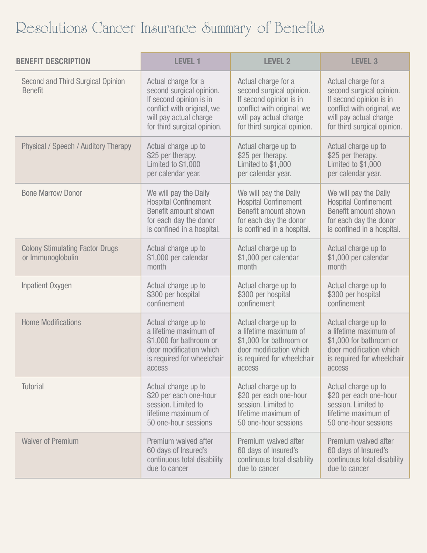## Resolutions Cancer Insurance Summary of Benefits

| <b>BENEFIT DESCRIPTION</b>                                  | <b>LEVEL 1</b>                                                                                                                                                    | <b>LEVEL 2</b>                                                                                                                                                    | <b>LEVEL 3</b>                                                                                                                                                    |
|-------------------------------------------------------------|-------------------------------------------------------------------------------------------------------------------------------------------------------------------|-------------------------------------------------------------------------------------------------------------------------------------------------------------------|-------------------------------------------------------------------------------------------------------------------------------------------------------------------|
| Second and Third Surgical Opinion<br><b>Benefit</b>         | Actual charge for a<br>second surgical opinion.<br>If second opinion is in<br>conflict with original, we<br>will pay actual charge<br>for third surgical opinion. | Actual charge for a<br>second surgical opinion.<br>If second opinion is in<br>conflict with original, we<br>will pay actual charge<br>for third surgical opinion. | Actual charge for a<br>second surgical opinion.<br>If second opinion is in<br>conflict with original, we<br>will pay actual charge<br>for third surgical opinion. |
| Physical / Speech / Auditory Therapy                        | Actual charge up to                                                                                                                                               | Actual charge up to                                                                                                                                               | Actual charge up to                                                                                                                                               |
|                                                             | \$25 per therapy.                                                                                                                                                 | \$25 per therapy.                                                                                                                                                 | \$25 per therapy.                                                                                                                                                 |
|                                                             | Limited to \$1,000                                                                                                                                                | Limited to \$1,000                                                                                                                                                | Limited to \$1,000                                                                                                                                                |
|                                                             | per calendar year.                                                                                                                                                | per calendar year.                                                                                                                                                | per calendar year.                                                                                                                                                |
| <b>Bone Marrow Donor</b>                                    | We will pay the Daily                                                                                                                                             | We will pay the Daily                                                                                                                                             | We will pay the Daily                                                                                                                                             |
|                                                             | <b>Hospital Confinement</b>                                                                                                                                       | <b>Hospital Confinement</b>                                                                                                                                       | <b>Hospital Confinement</b>                                                                                                                                       |
|                                                             | Benefit amount shown                                                                                                                                              | Benefit amount shown                                                                                                                                              | Benefit amount shown                                                                                                                                              |
|                                                             | for each day the donor                                                                                                                                            | for each day the donor                                                                                                                                            | for each day the donor                                                                                                                                            |
|                                                             | is confined in a hospital.                                                                                                                                        | is confined in a hospital.                                                                                                                                        | is confined in a hospital.                                                                                                                                        |
| <b>Colony Stimulating Factor Drugs</b><br>or Immunoglobulin | Actual charge up to<br>\$1,000 per calendar<br>month                                                                                                              | Actual charge up to<br>\$1,000 per calendar<br>month                                                                                                              | Actual charge up to<br>\$1,000 per calendar<br>month                                                                                                              |
| Inpatient Oxygen                                            | Actual charge up to                                                                                                                                               | Actual charge up to                                                                                                                                               | Actual charge up to                                                                                                                                               |
|                                                             | \$300 per hospital                                                                                                                                                | \$300 per hospital                                                                                                                                                | \$300 per hospital                                                                                                                                                |
|                                                             | confinement                                                                                                                                                       | confinement                                                                                                                                                       | confinement                                                                                                                                                       |
| <b>Home Modifications</b>                                   | Actual charge up to                                                                                                                                               | Actual charge up to                                                                                                                                               | Actual charge up to                                                                                                                                               |
|                                                             | a lifetime maximum of                                                                                                                                             | a lifetime maximum of                                                                                                                                             | a lifetime maximum of                                                                                                                                             |
|                                                             | \$1,000 for bathroom or                                                                                                                                           | \$1,000 for bathroom or                                                                                                                                           | \$1,000 for bathroom or                                                                                                                                           |
|                                                             | door modification which                                                                                                                                           | door modification which                                                                                                                                           | door modification which                                                                                                                                           |
|                                                             | is required for wheelchair                                                                                                                                        | is required for wheelchair                                                                                                                                        | is required for wheelchair                                                                                                                                        |
|                                                             | access                                                                                                                                                            | access                                                                                                                                                            | access                                                                                                                                                            |
| <b>Tutorial</b>                                             | Actual charge up to                                                                                                                                               | Actual charge up to                                                                                                                                               | Actual charge up to                                                                                                                                               |
|                                                             | \$20 per each one-hour                                                                                                                                            | \$20 per each one-hour                                                                                                                                            | \$20 per each one-hour                                                                                                                                            |
|                                                             | session. Limited to                                                                                                                                               | session. Limited to                                                                                                                                               | session. Limited to                                                                                                                                               |
|                                                             | lifetime maximum of                                                                                                                                               | lifetime maximum of                                                                                                                                               | lifetime maximum of                                                                                                                                               |
|                                                             | 50 one-hour sessions                                                                                                                                              | 50 one-hour sessions                                                                                                                                              | 50 one-hour sessions                                                                                                                                              |
| <b>Waiver of Premium</b>                                    | Premium waived after                                                                                                                                              | Premium waived after                                                                                                                                              | Premium waived after                                                                                                                                              |
|                                                             | 60 days of Insured's                                                                                                                                              | 60 days of Insured's                                                                                                                                              | 60 days of Insured's                                                                                                                                              |
|                                                             | continuous total disability                                                                                                                                       | continuous total disability                                                                                                                                       | continuous total disability                                                                                                                                       |
|                                                             | due to cancer                                                                                                                                                     | due to cancer                                                                                                                                                     | due to cancer                                                                                                                                                     |